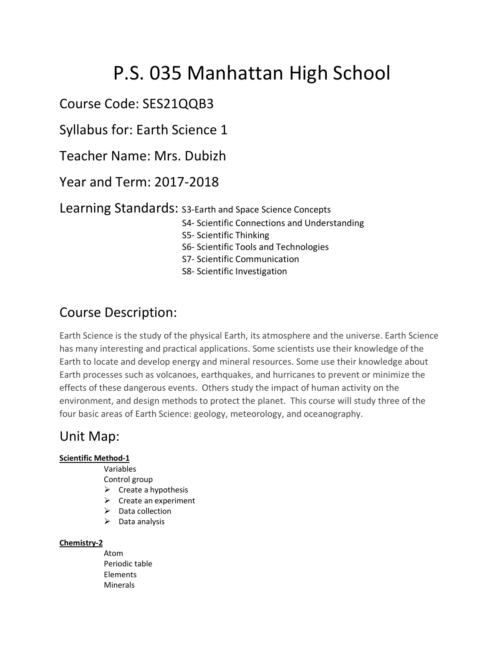# P.S. 035 Manhattan High School

# Course Code: SES21QQB3

Syllabus for: Earth Science 1

Teacher Name: Mrs. Dubizh

Year and Term: 2017-2018

Learning Standards: S3-Earth and Space Science Concepts

- S4- Scientific Connections and Understanding
- S5- Scientific Thinking
- S6- Scientific Tools and Technologies
- S7- Scientific Communication

S8- Scientific Investigation

# Course Description:

Earth Science is the study of the physical Earth, its atmosphere and the universe. Earth Science has many interesting and practical applications. Some scientists use their knowledge of the Earth to locate and develop energy and mineral resources. Some use their knowledge about Earth processes such as volcanoes, earthquakes, and hurricanes to prevent or minimize the effects of these dangerous events. Others study the impact of human activity on the environment, and design methods to protect the planet. This course will study three of the four basic areas of Earth Science: geology, meteorology, and oceanography.

## Unit Map:

#### **Scientific Method-1**

- Variables
- Control group
- $\triangleright$  Create a hypothesis
- $\triangleright$  Create an experiment
- $\triangleright$  Data collection
- $\triangleright$  Data analysis

#### **Chemistry-2**

Atom Periodic table Elements **Minerals**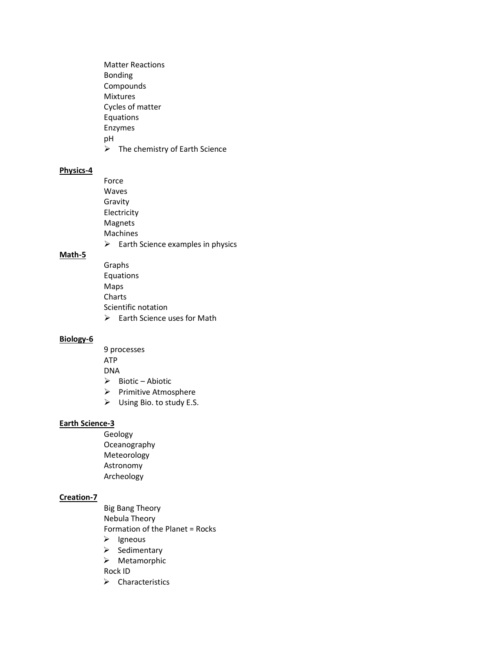Matter Reactions Bonding Compounds Mixtures Cycles of matter Equations Enzymes pH  $\triangleright$  The chemistry of Earth Science

#### **Physics-4**

Force Waves Gravity Electricity Magnets Machines  $\triangleright$  Earth Science examples in physics

#### **Math-5**

Graphs Equations Maps Charts Scientific notation  $\triangleright$  Earth Science uses for Math

#### **Biology-6**

9 processes ATP

DNA

- $\triangleright$  Biotic Abiotic
- Ø Primitive Atmosphere
- $\triangleright$  Using Bio. to study E.S.

#### **Earth Science-3**

Geology Oceanography Meteorology Astronomy Archeology

#### **Creation-7**

Big Bang Theory Nebula Theory Formation of the Planet = Rocks  $\triangleright$  Igneous  $\triangleright$  Sedimentary

 $\triangleright$  Metamorphic

Rock ID

 $\triangleright$  Characteristics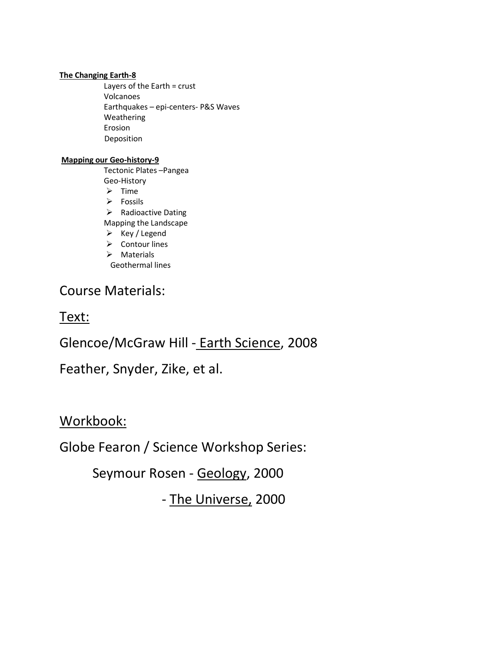#### **The Changing Earth-8**

Layers of the Earth = crust Volcanoes Earthquakes – epi-centers- P&S Waves Weathering Erosion Deposition

#### **Mapping our Geo-history-9**

Tectonic Plates –Pangea Geo-History

 $\triangleright$  Time

 $\triangleright$  Fossils

 $\triangleright$  Radioactive Dating

Mapping the Landscape

- $\triangleright$  Key / Legend
- $\triangleright$  Contour lines
- $\triangleright$  Materials

Geothermal lines

## Course Materials:

Text:

# Glencoe/McGraw Hill - Earth Science, 2008

# Feather, Snyder, Zike, et al.

Workbook:

Globe Fearon / Science Workshop Series:

Seymour Rosen - Geology, 2000

- The Universe, 2000